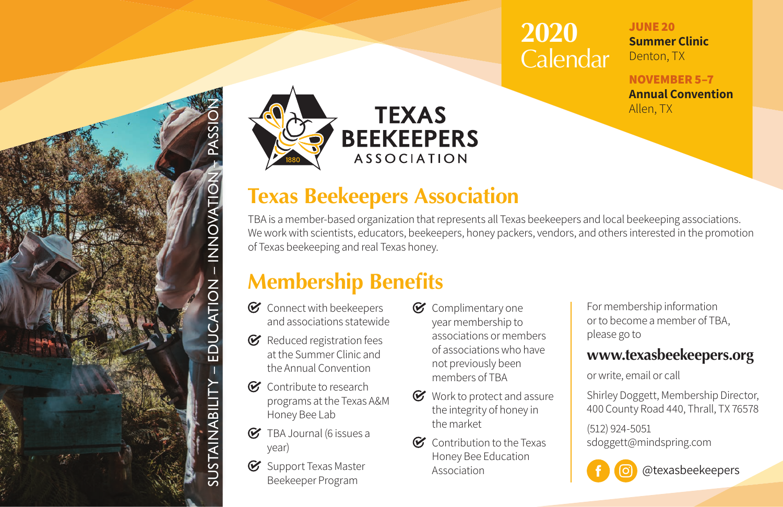## **2020**  Calendar

**JUNE 20 Summer Clinic** Denton, TX

**NOVEMBER 5–7 Annual Convention** Allen, TX



### **Texas Beekeepers Association**

TBA is a member-based organization that represents all Texas beekeepers and local beekeeping associations. We work with scientists, educators, beekeepers, honey packers, vendors, and others interested in the promotion of Texas beekeeping and real Texas honey.

## **Membership Benefits**

 $\mathcal C$  Connect with beekeepers and associations statewide

SUSTAINABILITY – EDUCATION – INNOVATION – PASSION

- EDUCATION

STAINABILITY

- INNOVATIO

- $\mathcal C$  Reduced registration fees at the Summer Clinic and the Annual Convention
- Contribute to research programs at the Texas A&M Honey Bee Lab
- G TBA Journal (6 issues a year)
- $\mathcal G$  Support Texas Master Beekeeper Program
- C Complimentary one year membership to associations or members of associations who have not previously been members of TBA
- $\mathcal C$  Work to protect and assure the integrity of honey in the market
- $\mathcal G$  Contribution to the Texas Honey Bee Education Association

For membership information or to become a member of TBA, please go to

#### **www.texasbeekeepers.org**

or write, email or call

Shirley Doggett, Membership Director, 400 County Road 440, Thrall, TX 76578

(512) 924-5051 sdoggett@mindspring.com